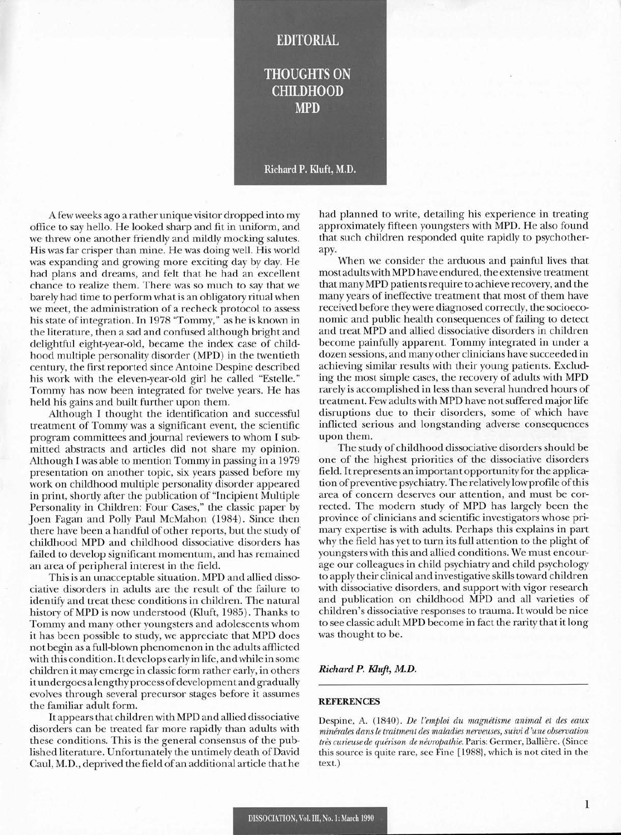## **EDITORIAL**

# **THOUGHTS ON CHILDHOOD MPD**

Richard P. Kluft, M.D.

A few weeks ago a rather unique visitor dropped into my office to say hello. He looked sharp and fit in uniform, and we threw one another friendly and mildly mocking salutes. His was far crisper than mine. He was doing well. His world was expanding and growing more exciting day by day. He had plans and dreams, and felt that he had an excellent chance to realize them. There was so much to say that we barely had time to perform what is an obligatory ritual when we meet, the administration of a recheck protocol to assess his state of integration. In 1978 "Tommy," as he is known in the literature, then a sad and confused although bright and delightful eight-year-old, became the index case of childhood multiple personality disorder (MPD) in the twentieth century, the first reported since Antoine Despine described his work with the eleven-year-old girl he called "Estelle." Tommy has now been integrated for twelve years. He has held his gains and built further upon them.

Although I thought the identification and successful treatment of Tommy was a significant event, the scientiflc program committees and journal reviewers to whom I submitted abstracts and articles did not share my opinion. Although I was able to mention Tommy in passing in a 1979 presentation on another topic, six years passed before my work on childhood multiple personality disorder appeared in print, shortly after the publication of "Incipient Multiple Personality in Children: Four Cases," the classic paper by Joen Fagan and Polly Paul McMahon (1984). Since then there have been a handful of other reports, but the study of childhood MPD and childhood dissociative disorders has failed to develop significant momentum, and has remained an area of peripheral interest in the field.

This is an unacceptable situation. MPD and allied dissociative disorders in adults are the result of the failure to identify and treat these conditions in children. The natural history of MPD is now understood (KIuft, 1985). Thanks to Tommy and many other youngsters and adolescents whom it has been possible to study, we appreciate that MPD does not begin as a full-blown phenomenon in the adults afflicted with this condition. Itdevelops earlyinlife, andwhile in some children it may emerge in classic form rather early, in others it undergoes a lengthy process of development and gradually evolves through several precursor stages before it assumes the familiar adult form.

It appears that children with MPD and allied dissociative disorders can be treated far more rapidly than adults with these conditions. This is the general consensus of the published literature. Unfortunately the untimely death of David Caul, M.D., deprived the field of an additional article that he

had planned to write, detailing his experience in treating approximately fifteen youngsters with MPD. He also found that such children responded quite rapidly to psychotherapy.

When we consider the arduous and painful lives that most adults with MPD have endured, the extensive treatment that many MPD patients require to achieve recovery, and the many years of ineffective treatment that most of them have received before they were diagnosed correctly, the socioeconomic and public health consequences of failing to detect and treat MPD and allied dissociative disorders in children become painfully apparent. Tommy integrated in under a dozen sessions, and many other clinicians have succeeded in achieving similar results with their young patients. Excluding the most simple cases, the recovery of adults with MPD rarely is accomplished in less than several hundred hours of treatment. Few adults with MPD have not suffered major life disruptions due to their disorders, some of which have inflicted serious and longstanding adverse consequences upon them.

The study of childhood dissociative disorders should be one of the highest priorities of the dissociative disorders field. Itrepresents an important opportunity for the application ofpreventive psychiatry. The relatively low profile ofthis area of concern deserves our attention, and must be corrected. The modern study of MPD has largely been the province of clinicians and scientific investigators whose primary expertise is with adults. Perhaps this explains in part why the field has yet to turn its full attention to the plight of youngsters with this and allied conditions. We must encourage our colleagues in child psychiatry and child psychology to apply their clinical and investigative skills toward children with dissociative disorders, and support with vigor research and publication on childhood MPD and all varieties of children's dissociative responses to trauma. It would be nice to see classic adult MPD become in fact the rarity that it long was thought to be.

### *Richard P. Klujt, M.D.*

#### REFERENCES

Despine, A. (1840). *De l'emploi du magnetisme animal et des eaux minerales dans le traitment des maladies nerveuses, suivi d 'une observation tres cuneuse de quenson de nevropathie.* Paris: Germer, Balliere. (Since this source is quite rare, see Fine [I988}, which is not cited in the text.)